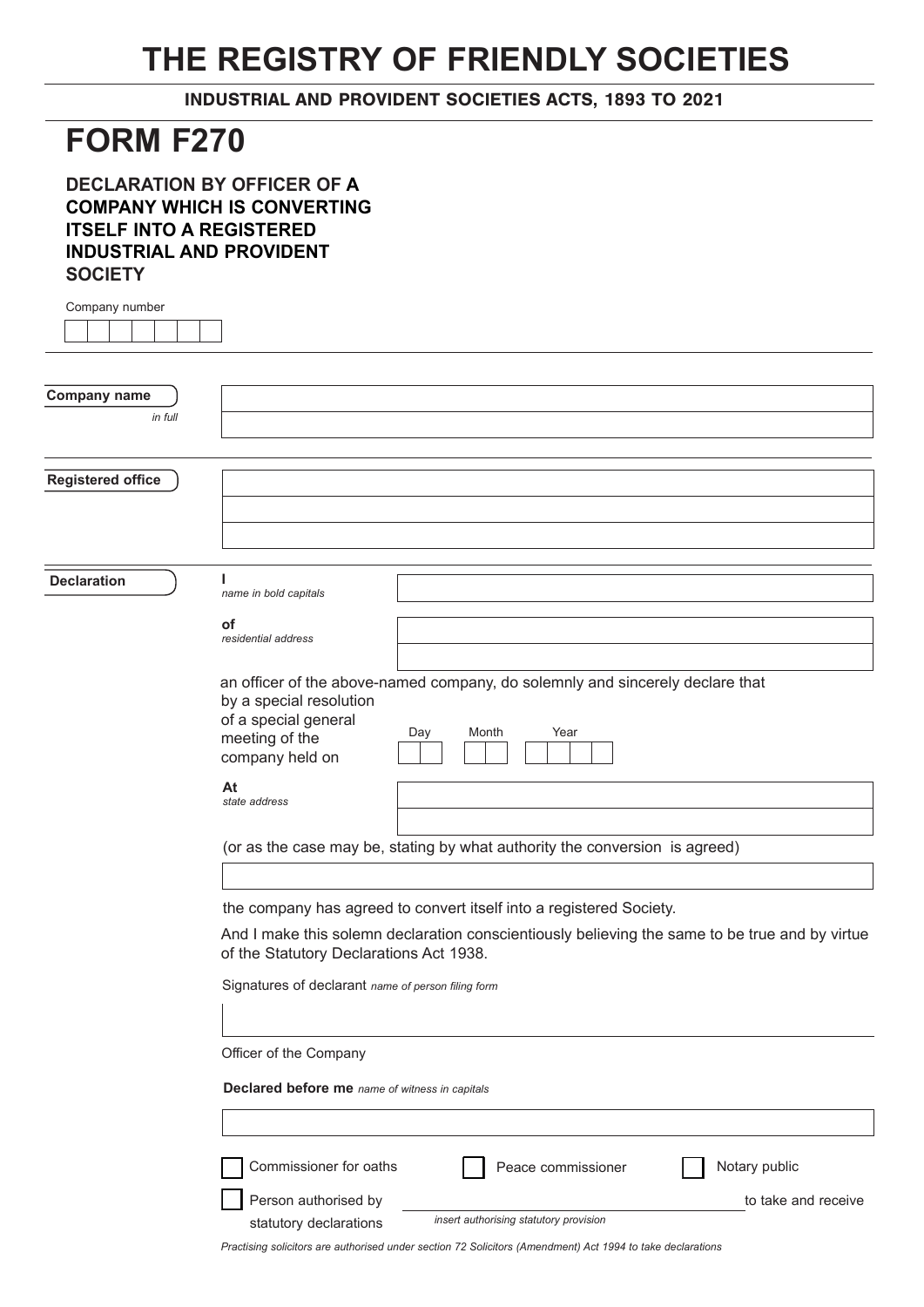## **THE REGISTRY OF FRIENDLY SOCIETIES**

INDUSTRIAL AND PROVIDENT SOCIETIES ACTS, 1893 TO 2021

## **FORM F270**

**DECLARATION BY OFFICER OF A COMPANY WHICH IS CONVERTING ITSELF INTO A REGISTERED INDUSTRIAL AND PROVIDENT SOCIETY**

| Company number           |                                                                                                |  |  |
|--------------------------|------------------------------------------------------------------------------------------------|--|--|
|                          |                                                                                                |  |  |
|                          |                                                                                                |  |  |
|                          |                                                                                                |  |  |
| <b>Company name</b>      |                                                                                                |  |  |
| in full                  |                                                                                                |  |  |
|                          |                                                                                                |  |  |
|                          |                                                                                                |  |  |
| <b>Registered office</b> |                                                                                                |  |  |
|                          |                                                                                                |  |  |
|                          |                                                                                                |  |  |
|                          |                                                                                                |  |  |
| <b>Declaration</b>       | name in bold capitals                                                                          |  |  |
|                          |                                                                                                |  |  |
|                          | οf<br>residential address                                                                      |  |  |
|                          |                                                                                                |  |  |
|                          | an officer of the above-named company, do solemnly and sincerely declare that                  |  |  |
|                          | by a special resolution                                                                        |  |  |
|                          | of a special general                                                                           |  |  |
|                          | Month<br>Year<br>Day<br>meeting of the                                                         |  |  |
|                          | company held on                                                                                |  |  |
|                          | At                                                                                             |  |  |
|                          | state address                                                                                  |  |  |
|                          |                                                                                                |  |  |
|                          | (or as the case may be, stating by what authority the conversion is agreed)                    |  |  |
|                          |                                                                                                |  |  |
|                          | the company has agreed to convert itself into a registered Society.                            |  |  |
|                          | And I make this solemn declaration conscientiously believing the same to be true and by virtue |  |  |
|                          | of the Statutory Declarations Act 1938.                                                        |  |  |
|                          |                                                                                                |  |  |
|                          | Signatures of declarant name of person filing form                                             |  |  |
|                          |                                                                                                |  |  |
|                          |                                                                                                |  |  |
|                          | Officer of the Company                                                                         |  |  |
|                          | Declared before me name of witness in capitals                                                 |  |  |
|                          |                                                                                                |  |  |
|                          |                                                                                                |  |  |
|                          |                                                                                                |  |  |
|                          | Commissioner for oaths<br>Peace commissioner<br>Notary public                                  |  |  |
|                          | Person authorised by<br>to take and receive                                                    |  |  |
|                          | insert authorising statutory provision<br>statutory declarations                               |  |  |

*Practising solicitors are authorised under section 72 Solicitors (Amendment) Act 1994 to take declarations*